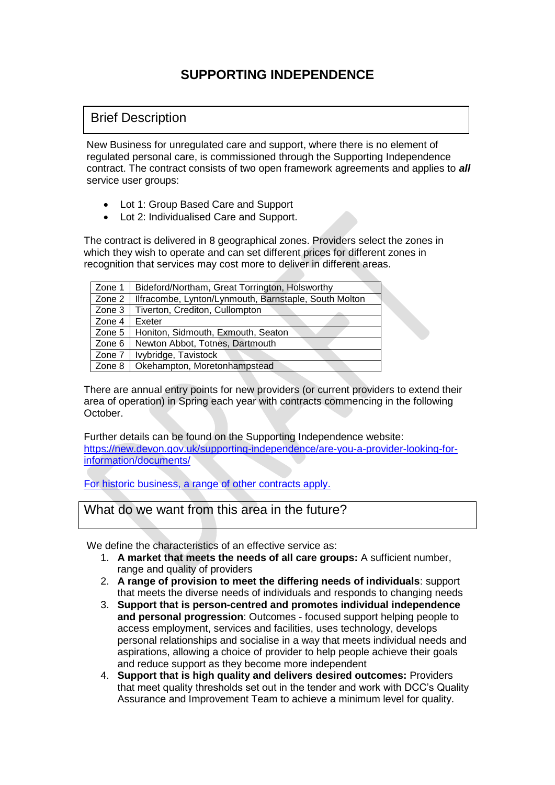## **SUPPORTING INDEPENDENCE**

## Brief Description

New Business for unregulated care and support, where there is no element of regulated personal care, is commissioned through the Supporting Independence contract. The contract consists of two open framework agreements and applies to *all*  service user groups:

- Lot 1: Group Based Care and Support
- Lot 2: Individualised Care and Support.

The contract is delivered in 8 geographical zones. Providers select the zones in which they wish to operate and can set different prices for different zones in recognition that services may cost more to deliver in different areas.

| Zone 1 | Bideford/Northam, Great Torrington, Holsworthy        |
|--------|-------------------------------------------------------|
| Zone 2 | Ilfracombe, Lynton/Lynmouth, Barnstaple, South Molton |
| Zone 3 | Tiverton, Crediton, Cullompton                        |
| Zone 4 | Exeter                                                |
| Zone 5 | Honiton, Sidmouth, Exmouth, Seaton                    |
| Zone 6 | Newton Abbot, Totnes, Dartmouth                       |
| Zone 7 | Ivybridge, Tavistock                                  |
| Zone 8 | Okehampton, Moretonhampstead                          |

There are annual entry points for new providers (or current providers to extend their area of operation) in Spring each year with contracts commencing in the following October.

Further details can be found on the Supporting Independence website: [https://new.devon.gov.uk/supporting-independence/are-you-a-provider-looking-for](https://new.devon.gov.uk/supporting-independence/are-you-a-provider-looking-for-information/documents/)[information/documents/](https://new.devon.gov.uk/supporting-independence/are-you-a-provider-looking-for-information/documents/)

For historic business, a range of other contracts apply.

What do we want from this area in the future?

We define the characteristics of an effective service as:

- 1. **A market that meets the needs of all care groups:** A sufficient number, range and quality of providers
- 2. **A range of provision to meet the differing needs of individuals**: support that meets the diverse needs of individuals and responds to changing needs
- 3. **Support that is person-centred and promotes individual independence and personal progression**: Outcomes - focused support helping people to access employment, services and facilities, uses technology, develops personal relationships and socialise in a way that meets individual needs and aspirations, allowing a choice of provider to help people achieve their goals and reduce support as they become more independent
- 4. **Support that is high quality and delivers desired outcomes:** Providers that meet quality thresholds set out in the tender and work with DCC's Quality Assurance and Improvement Team to achieve a minimum level for quality.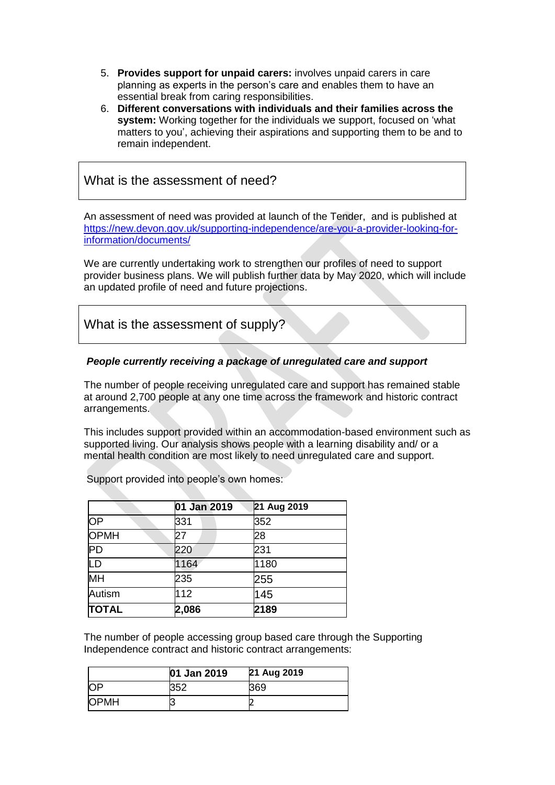- 5. **Provides support for unpaid carers:** involves unpaid carers in care planning as experts in the person's care and enables them to have an essential break from caring responsibilities.
- 6. **Different conversations with individuals and their families across the system:** Working together for the individuals we support, focused on 'what matters to you', achieving their aspirations and supporting them to be and to remain independent.

### What is the assessment of need?

An assessment of need was provided at launch of the Tender, and is published at [https://new.devon.gov.uk/supporting-independence/are-you-a-provider-looking-for](https://new.devon.gov.uk/supporting-independence/are-you-a-provider-looking-for-information/documents/)[information/documents/](https://new.devon.gov.uk/supporting-independence/are-you-a-provider-looking-for-information/documents/)

We are currently undertaking work to strengthen our profiles of need to support provider business plans. We will publish further data by May 2020, which will include an updated profile of need and future projections.

What is the assessment of supply?

#### *People currently receiving a package of unregulated care and support*

The number of people receiving unregulated care and support has remained stable at around 2,700 people at any one time across the framework and historic contract arrangements.

This includes support provided within an accommodation-based environment such as supported living. Our analysis shows people with a learning disability and/ or a mental health condition are most likely to need unregulated care and support.

|              | 01 Jan 2019 | 21 Aug 2019 |
|--------------|-------------|-------------|
| OP           | 331         | 352         |
| <b>OPMH</b>  | 27          | 28          |
| $\sf PD$     | 220         | 231         |
| LD           | 1164        | 1180        |
| MH           | 235         | 255         |
| Autism       | 112         | 145         |
| <b>TOTAL</b> | 2,086       | 2189        |

Support provided into people's own homes:

The number of people accessing group based care through the Supporting Independence contract and historic contract arrangements:

|             | 01 Jan 2019 | 21 Aug 2019 |
|-------------|-------------|-------------|
| ЮF          | 352         | 369         |
| <b>OPMH</b> |             |             |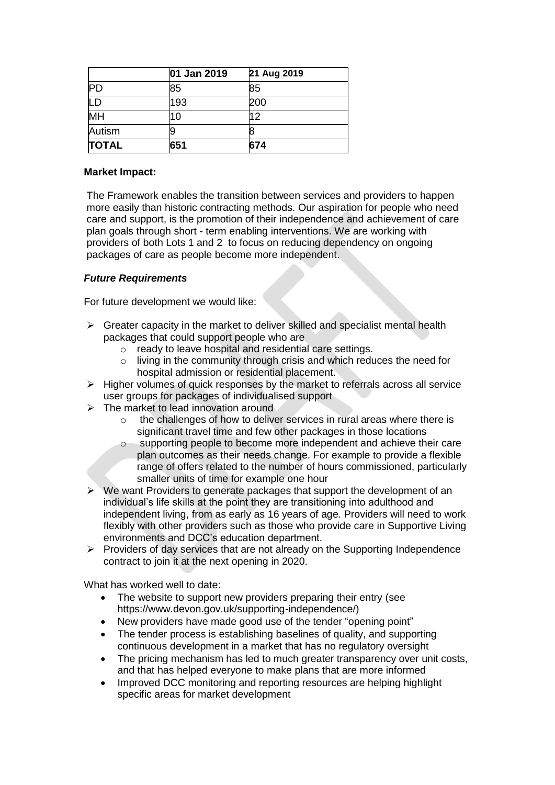|              | 01 Jan 2019 | 21 Aug 2019 |
|--------------|-------------|-------------|
|              | 85          | 85          |
|              | 193         | 200         |
| MH           |             | 12          |
| Autism       |             |             |
| <b>TOTAL</b> | 651         | 674         |

#### **Market Impact:**

The Framework enables the transition between services and providers to happen more easily than historic contracting methods. Our aspiration for people who need care and support, is the promotion of their independence and achievement of care plan goals through short - term enabling interventions. We are working with providers of both Lots 1 and 2 to focus on reducing dependency on ongoing packages of care as people become more independent.

#### *Future Requirements*

For future development we would like:

- $\triangleright$  Greater capacity in the market to deliver skilled and specialist mental health packages that could support people who are
	- o ready to leave hospital and residential care settings.
	- o living in the community through crisis and which reduces the need for hospital admission or residential placement.
- $\triangleright$  Higher volumes of quick responses by the market to referrals across all service user groups for packages of individualised support
- $\triangleright$  The market to lead innovation around
	- o the challenges of how to deliver services in rural areas where there is significant travel time and few other packages in those locations
	- o supporting people to become more independent and achieve their care plan outcomes as their needs change. For example to provide a flexible range of offers related to the number of hours commissioned, particularly smaller units of time for example one hour
- We want Providers to generate packages that support the development of an individual's life skills at the point they are transitioning into adulthood and independent living, from as early as 16 years of age. Providers will need to work flexibly with other providers such as those who provide care in Supportive Living environments and DCC's education department.
- ➢ Providers of day services that are not already on the Supporting Independence contract to join it at the next opening in 2020.

What has worked well to date:

- The website to support new providers preparing their entry (see https://www.devon.gov.uk/supporting-independence/)
- New providers have made good use of the tender "opening point"
- The tender process is establishing baselines of quality, and supporting continuous development in a market that has no regulatory oversight
- The pricing mechanism has led to much greater transparency over unit costs, and that has helped everyone to make plans that are more informed
- Improved DCC monitoring and reporting resources are helping highlight specific areas for market development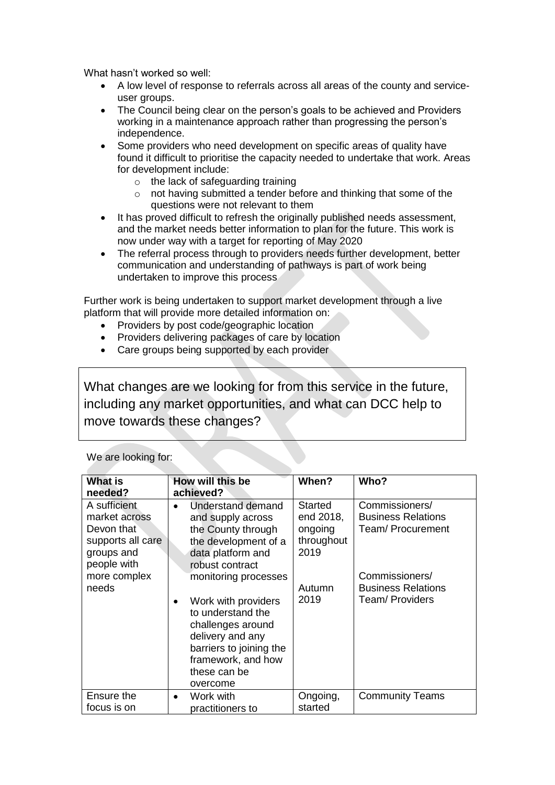What hasn't worked so well:

- A low level of response to referrals across all areas of the county and serviceuser groups.
- The Council being clear on the person's goals to be achieved and Providers working in a maintenance approach rather than progressing the person's independence.
- Some providers who need development on specific areas of quality have found it difficult to prioritise the capacity needed to undertake that work. Areas for development include:
	- o the lack of safeguarding training
	- o not having submitted a tender before and thinking that some of the questions were not relevant to them
- It has proved difficult to refresh the originally published needs assessment, and the market needs better information to plan for the future. This work is now under way with a target for reporting of May 2020
- The referral process through to providers needs further development, better communication and understanding of pathways is part of work being undertaken to improve this process

Further work is being undertaken to support market development through a live platform that will provide more detailed information on:

- Providers by post code/geographic location
- Providers delivering packages of care by location
- Care groups being supported by each provider

What changes are we looking for from this service in the future, including any market opportunities, and what can DCC help to move towards these changes?

#### We are looking for:

| <b>What is</b><br>needed?   | How will this be<br>achieved?                                                                                                                                  | When?                 | Who?                                           |
|-----------------------------|----------------------------------------------------------------------------------------------------------------------------------------------------------------|-----------------------|------------------------------------------------|
| A sufficient                | Understand demand                                                                                                                                              | Started               | Commissioners/                                 |
| market across<br>Devon that | and supply across                                                                                                                                              | end 2018,             | <b>Business Relations</b><br>Team/ Procurement |
| supports all care           | the County through                                                                                                                                             | ongoing<br>throughout |                                                |
| groups and                  | the development of a<br>data platform and                                                                                                                      | 2019                  |                                                |
| people with                 | robust contract                                                                                                                                                |                       |                                                |
| more complex                | monitoring processes                                                                                                                                           |                       | Commissioners/                                 |
| needs                       |                                                                                                                                                                | Autumn                | <b>Business Relations</b>                      |
|                             | Work with providers<br>to understand the<br>challenges around<br>delivery and any<br>barriers to joining the<br>framework, and how<br>these can be<br>overcome | 2019                  | Team/ Providers                                |
| Ensure the                  | Work with<br>$\bullet$                                                                                                                                         | Ongoing,              | <b>Community Teams</b>                         |
| focus is on                 | practitioners to                                                                                                                                               | started               |                                                |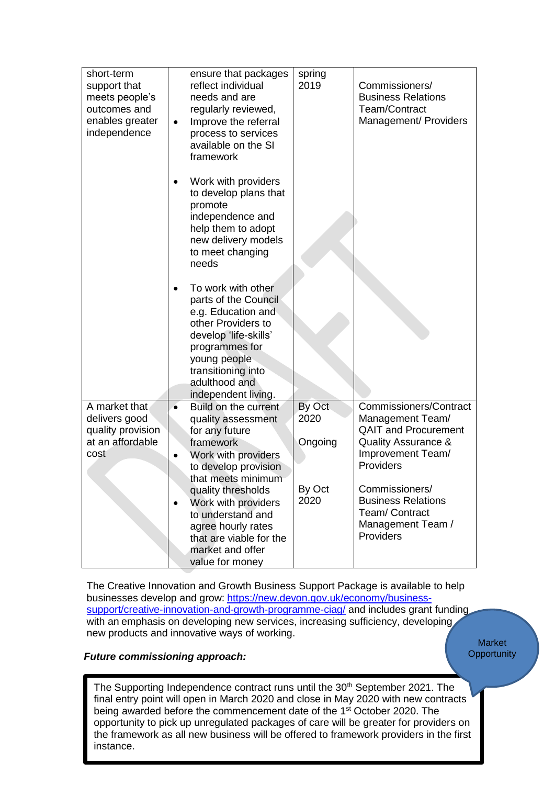| short-term<br>support that<br>meets people's<br>outcomes and<br>enables greater<br>independence | ensure that packages<br>reflect individual<br>needs and are<br>regularly reviewed,<br>Improve the referral<br>$\bullet$<br>process to services<br>available on the SI<br>framework                              | spring<br>2019 | Commissioners/<br><b>Business Relations</b><br>Team/Contract<br>Management/ Providers          |
|-------------------------------------------------------------------------------------------------|-----------------------------------------------------------------------------------------------------------------------------------------------------------------------------------------------------------------|----------------|------------------------------------------------------------------------------------------------|
|                                                                                                 | Work with providers<br>to develop plans that<br>promote<br>independence and<br>help them to adopt<br>new delivery models<br>to meet changing<br>needs                                                           |                |                                                                                                |
|                                                                                                 | To work with other<br>parts of the Council<br>e.g. Education and<br>other Providers to<br>develop 'life-skills'<br>programmes for<br>young people<br>transitioning into<br>adulthood and<br>independent living. |                |                                                                                                |
| A market that                                                                                   | Build on the current<br>$\bullet$                                                                                                                                                                               | By Oct<br>2020 | <b>Commissioners/Contract</b>                                                                  |
| delivers good<br>quality provision                                                              | quality assessment<br>for any future                                                                                                                                                                            |                | Management Team/<br><b>QAIT and Procurement</b>                                                |
| at an affordable                                                                                | framework                                                                                                                                                                                                       | Ongoing        | <b>Quality Assurance &amp;</b>                                                                 |
| cost                                                                                            | Work with providers<br>$\bullet$                                                                                                                                                                                |                | Improvement Team/                                                                              |
|                                                                                                 | to develop provision<br>that meets minimum                                                                                                                                                                      |                | Providers                                                                                      |
|                                                                                                 | quality thresholds<br>Work with providers<br>$\bullet$<br>to understand and<br>agree hourly rates<br>that are viable for the<br>market and offer<br>value for money                                             | By Oct<br>2020 | Commissioners/<br><b>Business Relations</b><br>Team/Contract<br>Management Team /<br>Providers |

The Creative Innovation and Growth Business Support Package is available to help businesses develop and grow: [https://new.devon.gov.uk/economy/business](https://new.devon.gov.uk/economy/business-support/creative-innovation-and-growth-programme-ciag/)[support/creative-innovation-and-growth-programme-ciag/](https://new.devon.gov.uk/economy/business-support/creative-innovation-and-growth-programme-ciag/) and includes grant funding with an emphasis on developing new services, increasing sufficiency, developing, new products and innovative ways of working.

**Market Opportunity** 

# *Future commissioning approach:*

The Supporting Independence contract runs until the 30<sup>th</sup> September 2021. The final entry point will open in March 2020 and close in May 2020 with new contracts being awarded before the commencement date of the 1<sup>st</sup> October 2020. The opportunity to pick up unregulated packages of care will be greater for providers on the framework as all new business will be offered to framework providers in the first instance.